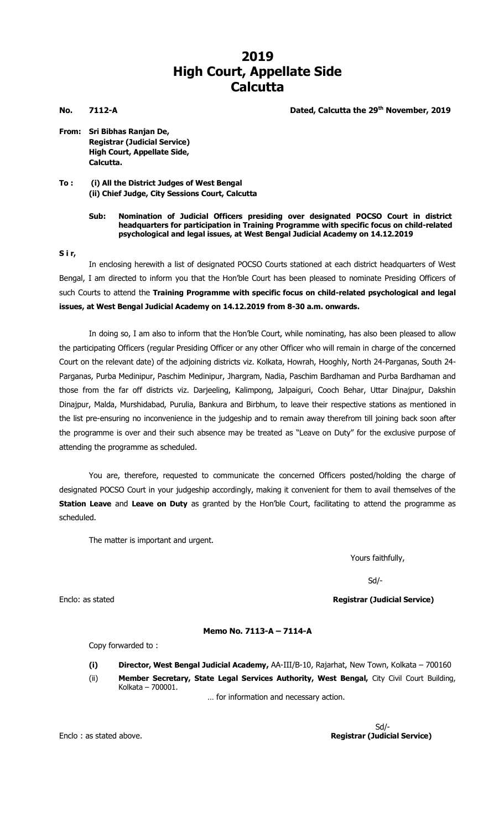## **2019 High Court, Appellate Side Calcutta**

**No. 7112-A Dated, Calcutta the 29th November, 2019**

- **From: Sri Bibhas Ranjan De, Registrar (Judicial Service) High Court, Appellate Side, Calcutta.**
- **To : (i) All the District Judges of West Bengal (ii) Chief Judge, City Sessions Court, Calcutta**

## **Sub: Nomination of Judicial Officers presiding over designated POCSO Court in district headquarters for participation in Training Programme with specific focus on child-related psychological and legal issues, at West Bengal Judicial Academy on 14.12.2019**

**S i r,**

In enclosing herewith a list of designated POCSO Courts stationed at each district headquarters of West Bengal, I am directed to inform you that the Hon'ble Court has been pleased to nominate Presiding Officers of such Courts to attend the **Training Programme with specific focus on child-related psychological and legal issues, at West Bengal Judicial Academy on 14.12.2019 from 8-30 a.m. onwards.**

In doing so, I am also to inform that the Hon'ble Court, while nominating, has also been pleased to allow the participating Officers (regular Presiding Officer or any other Officer who will remain in charge of the concerned Court on the relevant date) of the adjoining districts viz. Kolkata, Howrah, Hooghly, North 24-Parganas, South 24- Parganas, Purba Medinipur, Paschim Medinipur, Jhargram, Nadia, Paschim Bardhaman and Purba Bardhaman and those from the far off districts viz. Darjeeling, Kalimpong, Jalpaiguri, Cooch Behar, Uttar Dinajpur, Dakshin Dinajpur, Malda, Murshidabad, Purulia, Bankura and Birbhum, to leave their respective stations as mentioned in the list pre-ensuring no inconvenience in the judgeship and to remain away therefrom till joining back soon after the programme is over and their such absence may be treated as "Leave on Duty" for the exclusive purpose of attending the programme as scheduled.

You are, therefore, requested to communicate the concerned Officers posted/holding the charge of designated POCSO Court in your judgeship accordingly, making it convenient for them to avail themselves of the **Station Leave** and **Leave on Duty** as granted by the Hon'ble Court, facilitating to attend the programme as scheduled.

The matter is important and urgent.

Yours faithfully,

Sd/-

Enclo: as stated **Registrar (Judicial Service)**

## **Memo No. 7113-A – 7114-A**

Copy forwarded to :

- **(i) Director, West Bengal Judicial Academy,** AA-III/B-10, Rajarhat, New Town, Kolkata 700160
- (ii) **Member Secretary, State Legal Services Authority, West Bengal,** City Civil Court Building, Kolkata – 700001.

… for information and necessary action.